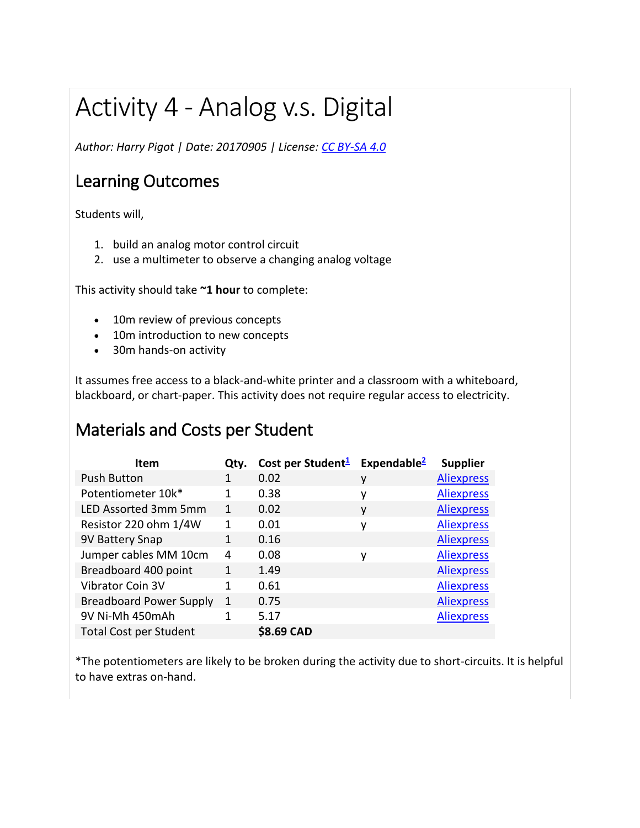# Activity 4 - Analog v.s. Digital

*Author: Harry Pigot | Date: 20170905 | License: [CC BY-SA 4.0](https://creativecommons.org/licenses/by-sa/4.0/)*

#### Learning Outcomes

Students will,

- 1. build an analog motor control circuit
- 2. use a multimeter to observe a changing analog voltage

This activity should take **~1 hour** to complete:

- 10m review of previous concepts
- 10m introduction to new concepts
- 30m hands-on activity

It assumes free access to a black-and-white printer and a classroom with a whiteboard, blackboard, or chart-paper. This activity does not require regular access to electricity.

#### Materials and Costs per Student

| <b>Item</b>                    | Qty. | Cost per Student <sup>1</sup> Expendable <sup>2</sup> |   | <b>Supplier</b>   |
|--------------------------------|------|-------------------------------------------------------|---|-------------------|
| <b>Push Button</b>             |      | 0.02                                                  | ۷ | <b>Aliexpress</b> |
| Potentiometer 10k*             |      | 0.38                                                  | ٧ | <b>Aliexpress</b> |
| LED Assorted 3mm 5mm           | 1    | 0.02                                                  | ۷ | <b>Aliexpress</b> |
| Resistor 220 ohm 1/4W          | 1    | 0.01                                                  | ۷ | <b>Aliexpress</b> |
| 9V Battery Snap                | 1    | 0.16                                                  |   | <b>Aliexpress</b> |
| Jumper cables MM 10cm          | 4    | 0.08                                                  | ۷ | <b>Aliexpress</b> |
| Breadboard 400 point           | 1    | 1.49                                                  |   | <b>Aliexpress</b> |
| <b>Vibrator Coin 3V</b>        | 1    | 0.61                                                  |   | <b>Aliexpress</b> |
| <b>Breadboard Power Supply</b> | 1    | 0.75                                                  |   | <b>Aliexpress</b> |
| 9V Ni-Mh 450mAh                |      | 5.17                                                  |   | <b>Aliexpress</b> |
| <b>Total Cost per Student</b>  |      | \$8.69 CAD                                            |   |                   |

\*The potentiometers are likely to be broken during the activity due to short-circuits. It is helpful to have extras on-hand.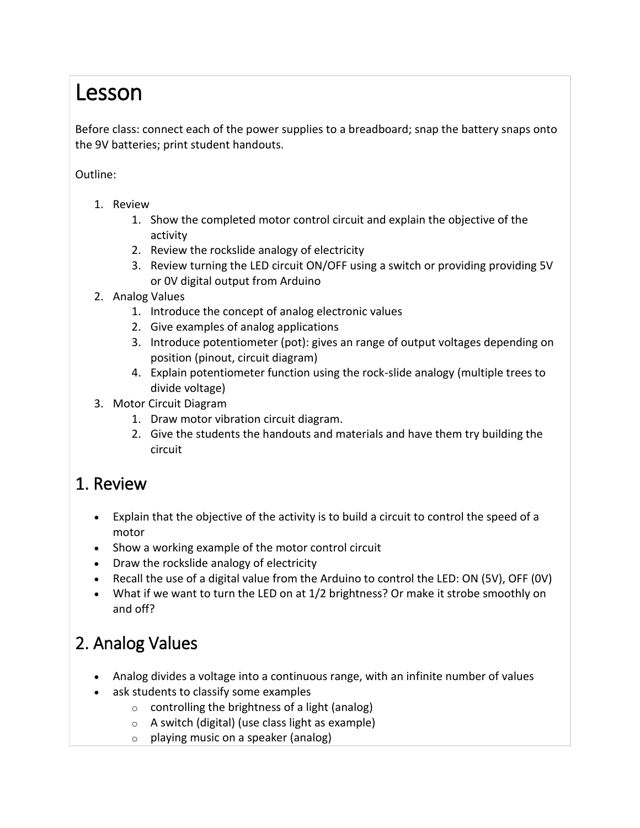# Lesson

Before class: connect each of the power supplies to a breadboard; snap the battery snaps onto the 9V batteries; print student handouts.

#### Outline:

- 1. Review
	- 1. Show the completed motor control circuit and explain the objective of the activity
	- 2. Review the rockslide analogy of electricity
	- 3. Review turning the LED circuit ON/OFF using a switch or providing providing 5V or 0V digital output from Arduino
- 2. Analog Values
	- 1. Introduce the concept of analog electronic values
	- 2. Give examples of analog applications
	- 3. Introduce potentiometer (pot): gives an range of output voltages depending on position (pinout, circuit diagram)
	- 4. Explain potentiometer function using the rock-slide analogy (multiple trees to divide voltage)
- 3. Motor Circuit Diagram
	- 1. Draw motor vibration circuit diagram.
	- 2. Give the students the handouts and materials and have them try building the circuit

#### 1. Review

- Explain that the objective of the activity is to build a circuit to control the speed of a motor
- Show a working example of the motor control circuit
- Draw the rockslide analogy of electricity
- Recall the use of a digital value from the Arduino to control the LED: ON (5V), OFF (0V)
- What if we want to turn the LED on at 1/2 brightness? Or make it strobe smoothly on and off?

## 2. Analog Values

- Analog divides a voltage into a continuous range, with an infinite number of values
- ask students to classify some examples
	- $\circ$  controlling the brightness of a light (analog)
	- $\circ$  A switch (digital) (use class light as example)
	- $\circ$  playing music on a speaker (analog)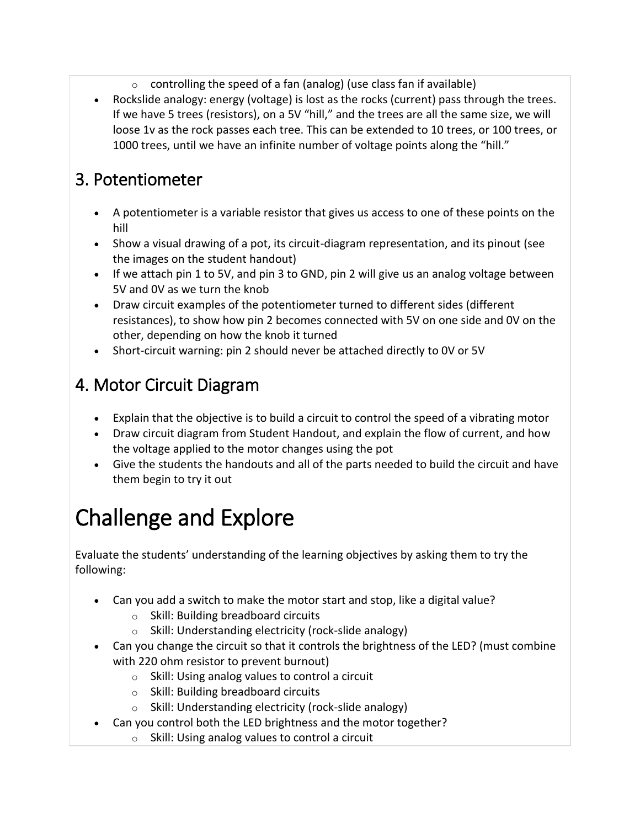- $\circ$  controlling the speed of a fan (analog) (use class fan if available)
- Rockslide analogy: energy (voltage) is lost as the rocks (current) pass through the trees. If we have 5 trees (resistors), on a 5V "hill," and the trees are all the same size, we will loose 1v as the rock passes each tree. This can be extended to 10 trees, or 100 trees, or 1000 trees, until we have an infinite number of voltage points along the "hill."

### 3. Potentiometer

- A potentiometer is a variable resistor that gives us access to one of these points on the hill
- Show a visual drawing of a pot, its circuit-diagram representation, and its pinout (see the images on the student handout)
- If we attach pin 1 to 5V, and pin 3 to GND, pin 2 will give us an analog voltage between 5V and 0V as we turn the knob
- Draw circuit examples of the potentiometer turned to different sides (different resistances), to show how pin 2 becomes connected with 5V on one side and 0V on the other, depending on how the knob it turned
- Short-circuit warning: pin 2 should never be attached directly to 0V or 5V

### 4. Motor Circuit Diagram

- Explain that the objective is to build a circuit to control the speed of a vibrating motor
- Draw circuit diagram from Student Handout, and explain the flow of current, and how the voltage applied to the motor changes using the pot
- Give the students the handouts and all of the parts needed to build the circuit and have them begin to try it out

# Challenge and Explore

Evaluate the students' understanding of the learning objectives by asking them to try the following:

- Can you add a switch to make the motor start and stop, like a digital value?
	- o Skill: Building breadboard circuits
	- o Skill: Understanding electricity (rock-slide analogy)
- Can you change the circuit so that it controls the brightness of the LED? (must combine with 220 ohm resistor to prevent burnout)
	- $\circ$  Skill: Using analog values to control a circuit
	- o Skill: Building breadboard circuits
	- o Skill: Understanding electricity (rock-slide analogy)
	- Can you control both the LED brightness and the motor together?
		- $\circ$  Skill: Using analog values to control a circuit